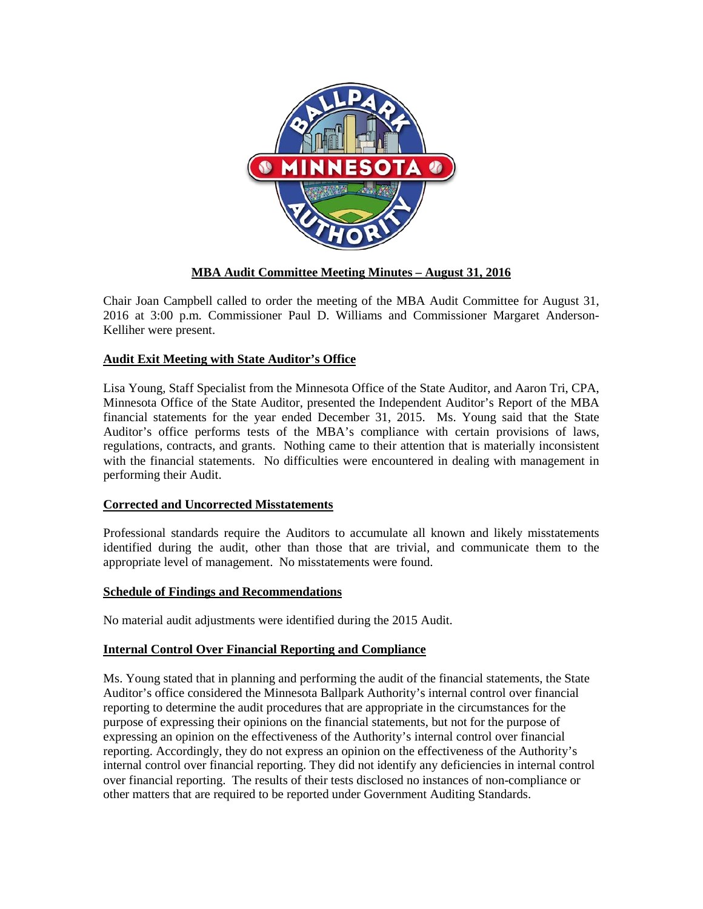

# **MBA Audit Committee Meeting Minutes – August 31, 2016**

Chair Joan Campbell called to order the meeting of the MBA Audit Committee for August 31, 2016 at 3:00 p.m. Commissioner Paul D. Williams and Commissioner Margaret Anderson-Kelliher were present.

# **Audit Exit Meeting with State Auditor's Office**

Lisa Young, Staff Specialist from the Minnesota Office of the State Auditor, and Aaron Tri, CPA, Minnesota Office of the State Auditor, presented the Independent Auditor's Report of the MBA financial statements for the year ended December 31, 2015. Ms. Young said that the State Auditor's office performs tests of the MBA's compliance with certain provisions of laws, regulations, contracts, and grants. Nothing came to their attention that is materially inconsistent with the financial statements. No difficulties were encountered in dealing with management in performing their Audit.

### **Corrected and Uncorrected Misstatements**

Professional standards require the Auditors to accumulate all known and likely misstatements identified during the audit, other than those that are trivial, and communicate them to the appropriate level of management. No misstatements were found.

#### **Schedule of Findings and Recommendations**

No material audit adjustments were identified during the 2015 Audit.

### **Internal Control Over Financial Reporting and Compliance**

Ms. Young stated that in planning and performing the audit of the financial statements, the State Auditor's office considered the Minnesota Ballpark Authority's internal control over financial reporting to determine the audit procedures that are appropriate in the circumstances for the purpose of expressing their opinions on the financial statements, but not for the purpose of expressing an opinion on the effectiveness of the Authority's internal control over financial reporting. Accordingly, they do not express an opinion on the effectiveness of the Authority's internal control over financial reporting. They did not identify any deficiencies in internal control over financial reporting. The results of their tests disclosed no instances of non-compliance or other matters that are required to be reported under Government Auditing Standards.